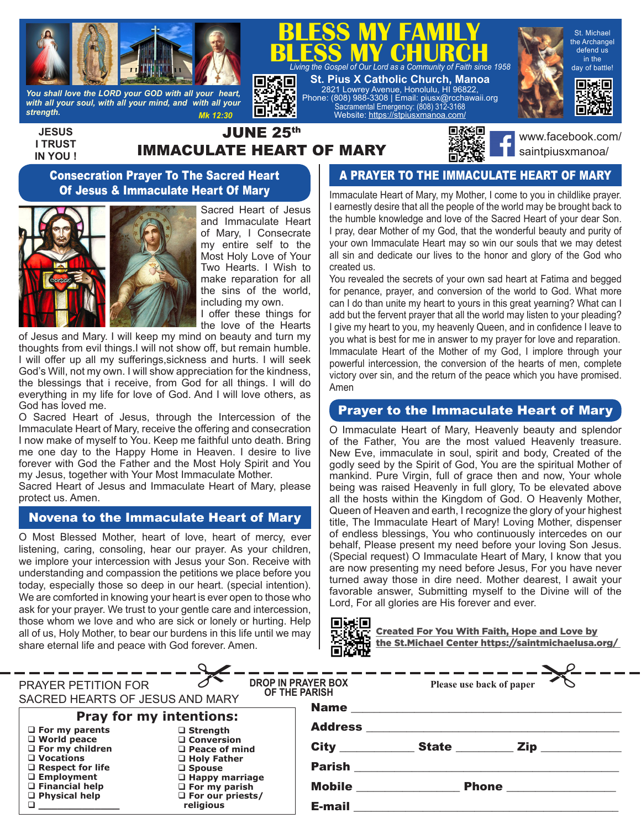

*You shall love the LORD your GOD with all your heart, with all your soul, with all your mind, and with all your strength. Mk 12:30*

**JESUS I TRUST IN YOU !**

# JUNE 25th IMMACULATE HEART OF MARY

Г

縣県



**BLESS MY CHURCH**<br>*Living the Gospel of Our Lord as a Community of Faith since 1958* 

**BLESS MY FAMILY**

**St. Pius X Catholic Church, Manoa** 2821 Lowrey Avenue, Honolulu, HI 96822, Phone: (808) 988-3308 | Email: piusx@rcchawaii.org Sacramental Emergency: (808) 312-3168 Website: https://stpiusxmanoa.com/

> www.facebook.com/ saintpiusxmanoa/

St. Michael the Archangel defend us in the day of battle!

同转同

#### Consecration Prayer To The Sacred Heart Of Jesus & Immaculate Heart Of Mary



Sacred Heart of Jesus and Immaculate Heart of Mary, I Consecrate my entire self to the Most Holy Love of Your Two Hearts. I Wish to make reparation for all the sins of the world, including my own.

I offer these things for the love of the Hearts

of Jesus and Mary. I will keep my mind on beauty and turn my thoughts from evil things.I will not show off, but remain humble. I will offer up all my sufferings,sickness and hurts. I will seek God's Will, not my own. I will show appreciation for the kindness, the blessings that i receive, from God for all things. I will do everything in my life for love of God. And I will love others, as God has loved me.

O Sacred Heart of Jesus, through the Intercession of the Immaculate Heart of Mary, receive the offering and consecration I now make of myself to You. Keep me faithful unto death. Bring me one day to the Happy Home in Heaven. I desire to live forever with God the Father and the Most Holy Spirit and You my Jesus, together with Your Most Immaculate Mother.

Sacred Heart of Jesus and Immaculate Heart of Mary, please protect us. Amen.

## Novena to the Immaculate Heart of Mary

O Most Blessed Mother, heart of love, heart of mercy, ever listening, caring, consoling, hear our prayer. As your children, we implore your intercession with Jesus your Son. Receive with understanding and compassion the petitions we place before you today, especially those so deep in our heart. (special intention). We are comforted in knowing your heart is ever open to those who ask for your prayer. We trust to your gentle care and intercession, those whom we love and who are sick or lonely or hurting. Help all of us, Holy Mother, to bear our burdens in this life until we may share eternal life and peace with God forever. Amen.

### A PRAYER TO THE IMMACULATE HEART OF MARY

Immaculate Heart of Mary, my Mother, I come to you in childlike prayer. I earnestly desire that all the people of the world may be brought back to the humble knowledge and love of the Sacred Heart of your dear Son. I pray, dear Mother of my God, that the wonderful beauty and purity of your own Immaculate Heart may so win our souls that we may detest all sin and dedicate our lives to the honor and glory of the God who created us.

You revealed the secrets of your own sad heart at Fatima and begged for penance, prayer, and conversion of the world to God. What more can I do than unite my heart to yours in this great yearning? What can I add but the fervent prayer that all the world may listen to your pleading? I give my heart to you, my heavenly Queen, and in confidence I leave to you what is best for me in answer to my prayer for love and reparation. Immaculate Heart of the Mother of my God, I implore through your powerful intercession, the conversion of the hearts of men, complete victory over sin, and the return of the peace which you have promised. Amen

### Prayer to the Immaculate Heart of Mary

O Immaculate Heart of Mary, Heavenly beauty and splendor of the Father, You are the most valued Heavenly treasure. New Eve, immaculate in soul, spirit and body, Created of the godly seed by the Spirit of God, You are the spiritual Mother of mankind. Pure Virgin, full of grace then and now, Your whole being was raised Heavenly in full glory, To be elevated above all the hosts within the Kingdom of God. O Heavenly Mother, Queen of Heaven and earth, I recognize the glory of your highest title, The Immaculate Heart of Mary! Loving Mother, dispenser of endless blessings, You who continuously intercedes on our behalf, Please present my need before your loving Son Jesus. (Special request) O Immaculate Heart of Mary, I know that you are now presenting my need before Jesus, For you have never turned away those in dire need. Mother dearest, I await your favorable answer, Submitting myself to the Divine will of the Lord, For all glories are His forever and ever.



Created For You With Faith, Hope and Love by the St.Michael Center https://saintmichaelusa.org/

|                                                                    |                                                                               | we w                         |                          |                                                         |
|--------------------------------------------------------------------|-------------------------------------------------------------------------------|------------------------------|--------------------------|---------------------------------------------------------|
|                                                                    |                                                                               |                              |                          |                                                         |
| PRAYER PETITION FOR                                                | <b>DROP IN PRAYER BOX</b><br>OF THE PARISH<br>SACRED HEARTS OF JESUS AND MARY |                              | Please use back of paper |                                                         |
| <b>Pray for my intentions:</b>                                     |                                                                               |                              |                          |                                                         |
| $\Box$ For my parents                                              | $\Box$ Strength                                                               |                              |                          |                                                         |
| $\Box$ World peace<br>$\Box$ For my children                       | □ Conversion<br>$\Box$ Peace of mind                                          |                              |                          | City _______________State _____________ Zip ___________ |
| $\Box$ Vocations<br>$\Box$ Respect for life                        | □ Holy Father<br>$\square$ Spouse                                             | <b>Parish</b>                |                          |                                                         |
| $\Box$ Employment<br>$\Box$ Financial help<br>$\Box$ Physical help | $\Box$ Happy marriage<br>$\Box$ For my parish<br>$\Box$ For our priests/      | <b>Mobile ______________</b> |                          |                                                         |
|                                                                    | religious                                                                     | E-mail                       |                          |                                                         |